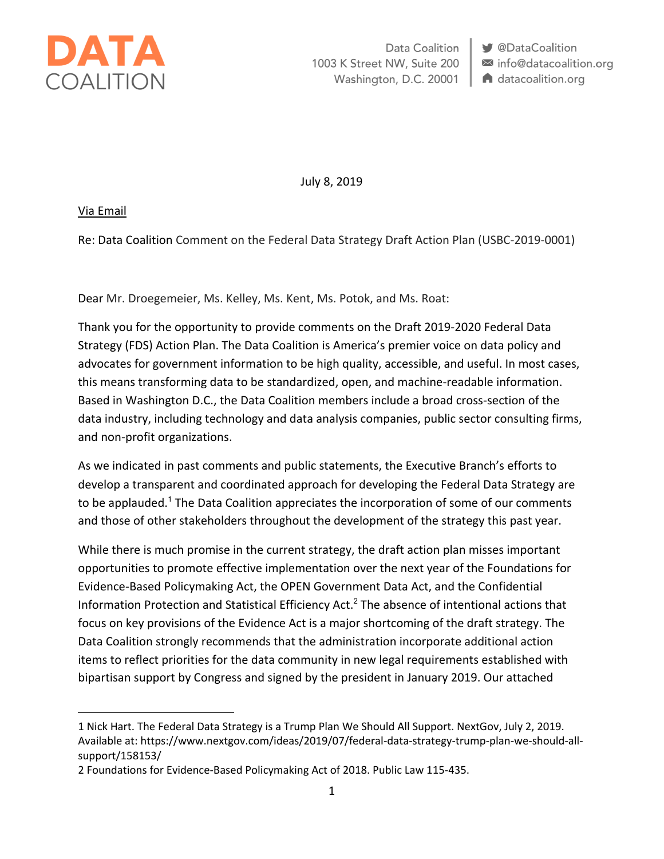

Data Coalition 1003 K Street NW, Suite 200 Washington, D.C. 20001 **S** @DataCoalition mfo@datacoalition.org **A** datacoalition.org

July 8, 2019

Via Email

 $\overline{a}$ 

Re: Data Coalition Comment on the Federal Data Strategy Draft Action Plan (USBC-2019-0001)

Dear Mr. Droegemeier, Ms. Kelley, Ms. Kent, Ms. Potok, and Ms. Roat:

Thank you for the opportunity to provide comments on the Draft 2019-2020 Federal Data Strategy (FDS) Action Plan. The Data Coalition is America's premier voice on data policy and advocates for government information to be high quality, accessible, and useful. In most cases, this means transforming data to be standardized, open, and machine-readable information. Based in Washington D.C., the Data Coalition members include a broad cross-section of the data industry, including technology and data analysis companies, public sector consulting firms, and non-profit organizations.

As we indicated in past comments and public statements, the Executive Branch's efforts to develop a transparent and coordinated approach for developing the Federal Data Strategy are to be applauded.<sup>1</sup> The Data Coalition appreciates the incorporation of some of our comments and those of other stakeholders throughout the development of the strategy this past year.

While there is much promise in the current strategy, the draft action plan misses important opportunities to promote effective implementation over the next year of the Foundations for Evidence-Based Policymaking Act, the OPEN Government Data Act, and the Confidential Information Protection and Statistical Efficiency Act.<sup>2</sup> The absence of intentional actions that focus on key provisions of the Evidence Act is a major shortcoming of the draft strategy. The Data Coalition strongly recommends that the administration incorporate additional action items to reflect priorities for the data community in new legal requirements established with bipartisan support by Congress and signed by the president in January 2019. Our attached

<sup>1</sup> Nick Hart. The Federal Data Strategy is a Trump Plan We Should All Support. NextGov, July 2, 2019. Available at: https://www.nextgov.com/ideas/2019/07/federal-data-strategy-trump-plan-we-should-allsupport/158153/

<sup>2</sup> Foundations for Evidence-Based Policymaking Act of 2018. Public Law 115-435.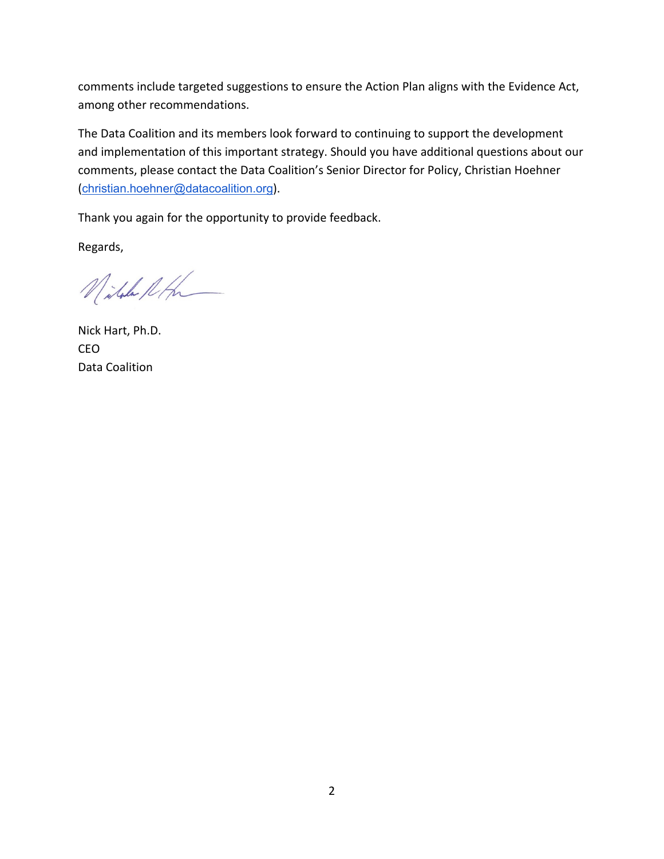comments include targeted suggestions to ensure the Action Plan aligns with the Evidence Act, among other recommendations.

The Data Coalition and its members look forward to continuing to support the development and implementation of this important strategy. Should you have additional questions about our comments, please contact the Data Coalition's Senior Director for Policy, Christian Hoehner (christian.hoehner@datacoalition.org).

Thank you again for the opportunity to provide feedback.

Regards,

Nitale Roh

Nick Hart, Ph.D. CEO Data Coalition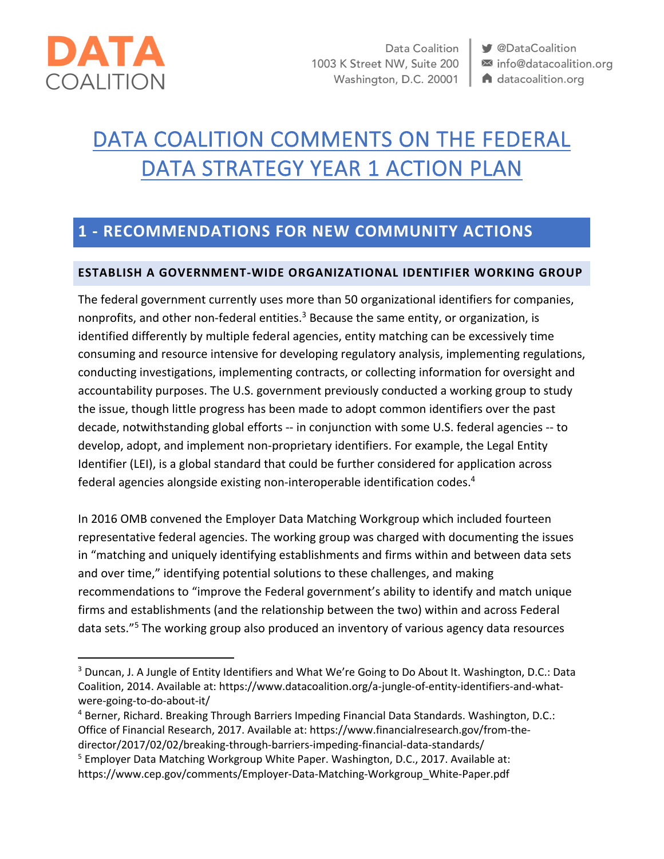

Data Coalition 1003 K Street NW, Suite 200 Washington, D.C. 20001 **S** @DataCoalition info@datacoalition.org A datacoalition.org

# DATA COALITION COMMENTS ON THE FEDERAL DATA STRATEGY YEAR 1 ACTION PLAN

# **1 - RECOMMENDATIONS FOR NEW COMMUNITY ACTIONS**

#### **ESTABLISH A GOVERNMENT-WIDE ORGANIZATIONAL IDENTIFIER WORKING GROUP**

The federal government currently uses more than 50 organizational identifiers for companies, nonprofits, and other non-federal entities.<sup>3</sup> Because the same entity, or organization, is identified differently by multiple federal agencies, entity matching can be excessively time consuming and resource intensive for developing regulatory analysis, implementing regulations, conducting investigations, implementing contracts, or collecting information for oversight and accountability purposes. The U.S. government previously conducted a working group to study the issue, though little progress has been made to adopt common identifiers over the past decade, notwithstanding global efforts -- in conjunction with some U.S. federal agencies -- to develop, adopt, and implement non-proprietary identifiers. For example, the Legal Entity Identifier (LEI), is a global standard that could be further considered for application across federal agencies alongside existing non-interoperable identification codes.4

In 2016 OMB convened the Employer Data Matching Workgroup which included fourteen representative federal agencies. The working group was charged with documenting the issues in "matching and uniquely identifying establishments and firms within and between data sets and over time," identifying potential solutions to these challenges, and making recommendations to "improve the Federal government's ability to identify and match unique firms and establishments (and the relationship between the two) within and across Federal data sets."5 The working group also produced an inventory of various agency data resources

<sup>&</sup>lt;sup>3</sup> Duncan, J. A Jungle of Entity Identifiers and What We're Going to Do About It. Washington, D.C.: Data Coalition, 2014. Available at: https://www.datacoalition.org/a-jungle-of-entity-identifiers-and-whatwere-going-to-do-about-it/

<sup>4</sup> Berner, Richard. Breaking Through Barriers Impeding Financial Data Standards. Washington, D.C.: Office of Financial Research, 2017. Available at: https://www.financialresearch.gov/from-thedirector/2017/02/02/breaking-through-barriers-impeding-financial-data-standards/

<sup>5</sup> Employer Data Matching Workgroup White Paper. Washington, D.C., 2017. Available at: https://www.cep.gov/comments/Employer-Data-Matching-Workgroup\_White-Paper.pdf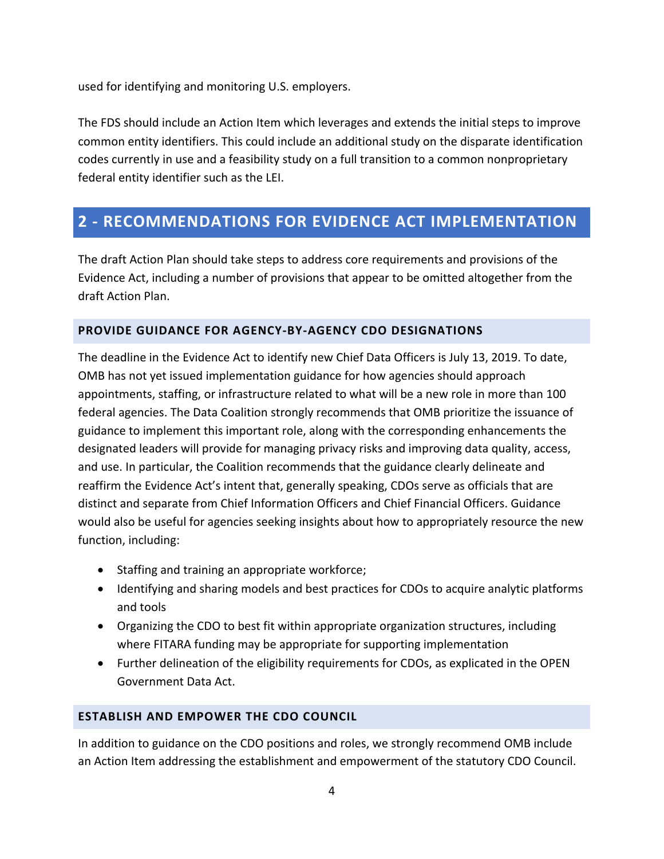used for identifying and monitoring U.S. employers.

The FDS should include an Action Item which leverages and extends the initial steps to improve common entity identifiers. This could include an additional study on the disparate identification codes currently in use and a feasibility study on a full transition to a common nonproprietary federal entity identifier such as the LEI.

# **2 - RECOMMENDATIONS FOR EVIDENCE ACT IMPLEMENTATION**

The draft Action Plan should take steps to address core requirements and provisions of the Evidence Act, including a number of provisions that appear to be omitted altogether from the draft Action Plan.

#### **PROVIDE GUIDANCE FOR AGENCY-BY-AGENCY CDO DESIGNATIONS**

The deadline in the Evidence Act to identify new Chief Data Officers is July 13, 2019. To date, OMB has not yet issued implementation guidance for how agencies should approach appointments, staffing, or infrastructure related to what will be a new role in more than 100 federal agencies. The Data Coalition strongly recommends that OMB prioritize the issuance of guidance to implement this important role, along with the corresponding enhancements the designated leaders will provide for managing privacy risks and improving data quality, access, and use. In particular, the Coalition recommends that the guidance clearly delineate and reaffirm the Evidence Act's intent that, generally speaking, CDOs serve as officials that are distinct and separate from Chief Information Officers and Chief Financial Officers. Guidance would also be useful for agencies seeking insights about how to appropriately resource the new function, including:

- Staffing and training an appropriate workforce;
- Identifying and sharing models and best practices for CDOs to acquire analytic platforms and tools
- Organizing the CDO to best fit within appropriate organization structures, including where FITARA funding may be appropriate for supporting implementation
- Further delineation of the eligibility requirements for CDOs, as explicated in the OPEN Government Data Act.

#### **ESTABLISH AND EMPOWER THE CDO COUNCIL**

In addition to guidance on the CDO positions and roles, we strongly recommend OMB include an Action Item addressing the establishment and empowerment of the statutory CDO Council.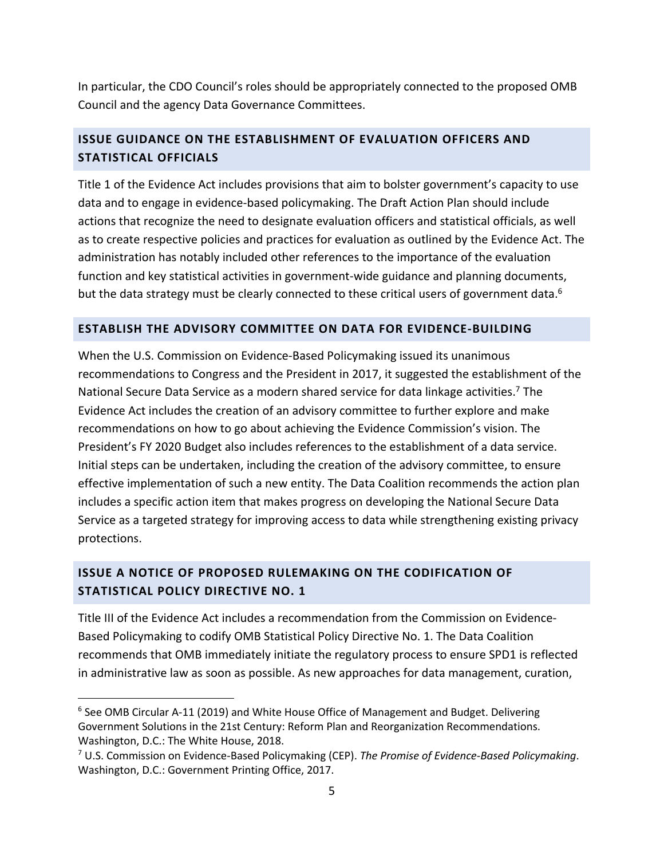In particular, the CDO Council's roles should be appropriately connected to the proposed OMB Council and the agency Data Governance Committees.

## **ISSUE GUIDANCE ON THE ESTABLISHMENT OF EVALUATION OFFICERS AND STATISTICAL OFFICIALS**

Title 1 of the Evidence Act includes provisions that aim to bolster government's capacity to use data and to engage in evidence-based policymaking. The Draft Action Plan should include actions that recognize the need to designate evaluation officers and statistical officials, as well as to create respective policies and practices for evaluation as outlined by the Evidence Act. The administration has notably included other references to the importance of the evaluation function and key statistical activities in government-wide guidance and planning documents, but the data strategy must be clearly connected to these critical users of government data.<sup>6</sup>

#### **ESTABLISH THE ADVISORY COMMITTEE ON DATA FOR EVIDENCE-BUILDING**

When the U.S. Commission on Evidence-Based Policymaking issued its unanimous recommendations to Congress and the President in 2017, it suggested the establishment of the National Secure Data Service as a modern shared service for data linkage activities.<sup>7</sup> The Evidence Act includes the creation of an advisory committee to further explore and make recommendations on how to go about achieving the Evidence Commission's vision. The President's FY 2020 Budget also includes references to the establishment of a data service. Initial steps can be undertaken, including the creation of the advisory committee, to ensure effective implementation of such a new entity. The Data Coalition recommends the action plan includes a specific action item that makes progress on developing the National Secure Data Service as a targeted strategy for improving access to data while strengthening existing privacy protections.

## **ISSUE A NOTICE OF PROPOSED RULEMAKING ON THE CODIFICATION OF STATISTICAL POLICY DIRECTIVE NO. 1**

Title III of the Evidence Act includes a recommendation from the Commission on Evidence-Based Policymaking to codify OMB Statistical Policy Directive No. 1. The Data Coalition recommends that OMB immediately initiate the regulatory process to ensure SPD1 is reflected in administrative law as soon as possible. As new approaches for data management, curation,

 $6$  See OMB Circular A-11 (2019) and White House Office of Management and Budget. Delivering Government Solutions in the 21st Century: Reform Plan and Reorganization Recommendations. Washington, D.C.: The White House, 2018.

<sup>7</sup> U.S. Commission on Evidence-Based Policymaking (CEP). *The Promise of Evidence-Based Policymaking*. Washington, D.C.: Government Printing Office, 2017.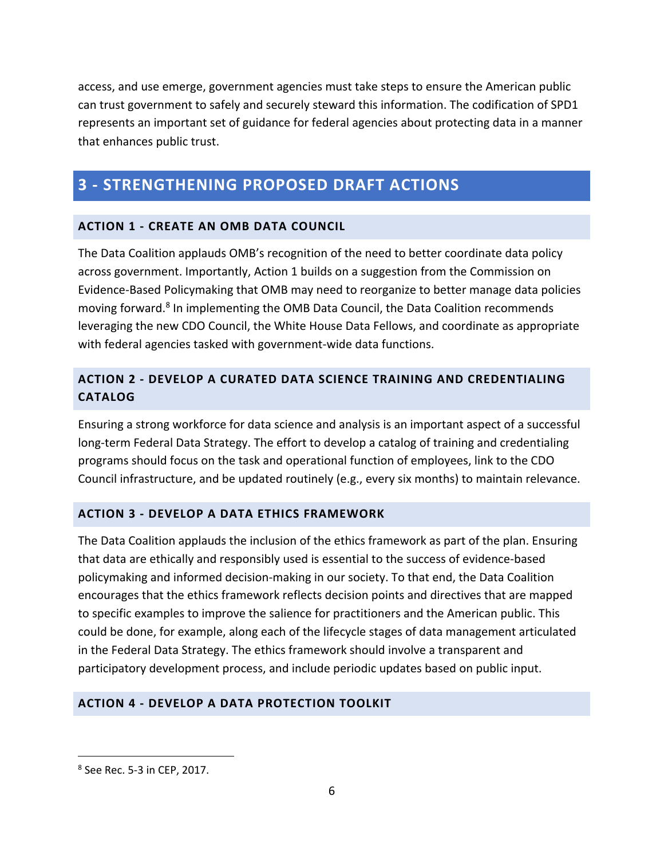access, and use emerge, government agencies must take steps to ensure the American public can trust government to safely and securely steward this information. The codification of SPD1 represents an important set of guidance for federal agencies about protecting data in a manner that enhances public trust.

# **3 - STRENGTHENING PROPOSED DRAFT ACTIONS**

#### **ACTION 1 - CREATE AN OMB DATA COUNCIL**

The Data Coalition applauds OMB's recognition of the need to better coordinate data policy across government. Importantly, Action 1 builds on a suggestion from the Commission on Evidence-Based Policymaking that OMB may need to reorganize to better manage data policies moving forward.8 In implementing the OMB Data Council, the Data Coalition recommends leveraging the new CDO Council, the White House Data Fellows, and coordinate as appropriate with federal agencies tasked with government-wide data functions.

## **ACTION 2 - DEVELOP A CURATED DATA SCIENCE TRAINING AND CREDENTIALING CATALOG**

Ensuring a strong workforce for data science and analysis is an important aspect of a successful long-term Federal Data Strategy. The effort to develop a catalog of training and credentialing programs should focus on the task and operational function of employees, link to the CDO Council infrastructure, and be updated routinely (e.g., every six months) to maintain relevance.

#### **ACTION 3 - DEVELOP A DATA ETHICS FRAMEWORK**

The Data Coalition applauds the inclusion of the ethics framework as part of the plan. Ensuring that data are ethically and responsibly used is essential to the success of evidence-based policymaking and informed decision-making in our society. To that end, the Data Coalition encourages that the ethics framework reflects decision points and directives that are mapped to specific examples to improve the salience for practitioners and the American public. This could be done, for example, along each of the lifecycle stages of data management articulated in the Federal Data Strategy. The ethics framework should involve a transparent and participatory development process, and include periodic updates based on public input.

#### **ACTION 4 - DEVELOP A DATA PROTECTION TOOLKIT**

 <sup>8</sup> See Rec. 5-3 in CEP, 2017.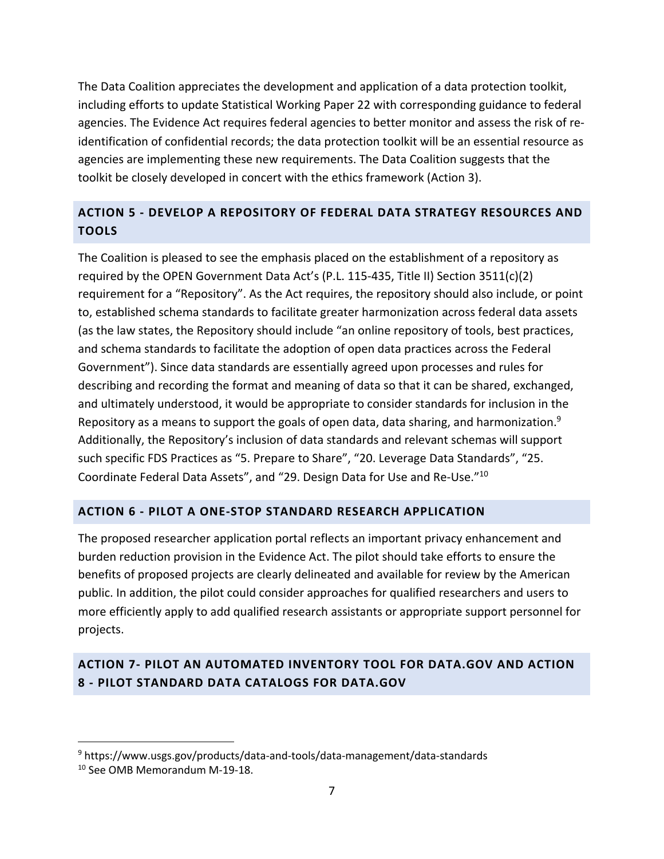The Data Coalition appreciates the development and application of a data protection toolkit, including efforts to update Statistical Working Paper 22 with corresponding guidance to federal agencies. The Evidence Act requires federal agencies to better monitor and assess the risk of reidentification of confidential records; the data protection toolkit will be an essential resource as agencies are implementing these new requirements. The Data Coalition suggests that the toolkit be closely developed in concert with the ethics framework (Action 3).

# **ACTION 5 - DEVELOP A REPOSITORY OF FEDERAL DATA STRATEGY RESOURCES AND TOOLS**

The Coalition is pleased to see the emphasis placed on the establishment of a repository as required by the OPEN Government Data Act's (P.L. 115-435, Title II) Section 3511(c)(2) requirement for a "Repository". As the Act requires, the repository should also include, or point to, established schema standards to facilitate greater harmonization across federal data assets (as the law states, the Repository should include "an online repository of tools, best practices, and schema standards to facilitate the adoption of open data practices across the Federal Government"). Since data standards are essentially agreed upon processes and rules for describing and recording the format and meaning of data so that it can be shared, exchanged, and ultimately understood, it would be appropriate to consider standards for inclusion in the Repository as a means to support the goals of open data, data sharing, and harmonization.<sup>9</sup> Additionally, the Repository's inclusion of data standards and relevant schemas will support such specific FDS Practices as "5. Prepare to Share", "20. Leverage Data Standards", "25. Coordinate Federal Data Assets", and "29. Design Data for Use and Re-Use."10

#### **ACTION 6 - PILOT A ONE-STOP STANDARD RESEARCH APPLICATION**

The proposed researcher application portal reflects an important privacy enhancement and burden reduction provision in the Evidence Act. The pilot should take efforts to ensure the benefits of proposed projects are clearly delineated and available for review by the American public. In addition, the pilot could consider approaches for qualified researchers and users to more efficiently apply to add qualified research assistants or appropriate support personnel for projects.

## **ACTION 7- PILOT AN AUTOMATED INVENTORY TOOL FOR DATA.GOV AND ACTION 8 - PILOT STANDARD DATA CATALOGS FOR DATA.GOV**

 <sup>9</sup> https://www.usgs.gov/products/data-and-tools/data-management/data-standards

<sup>&</sup>lt;sup>10</sup> See OMB Memorandum M-19-18.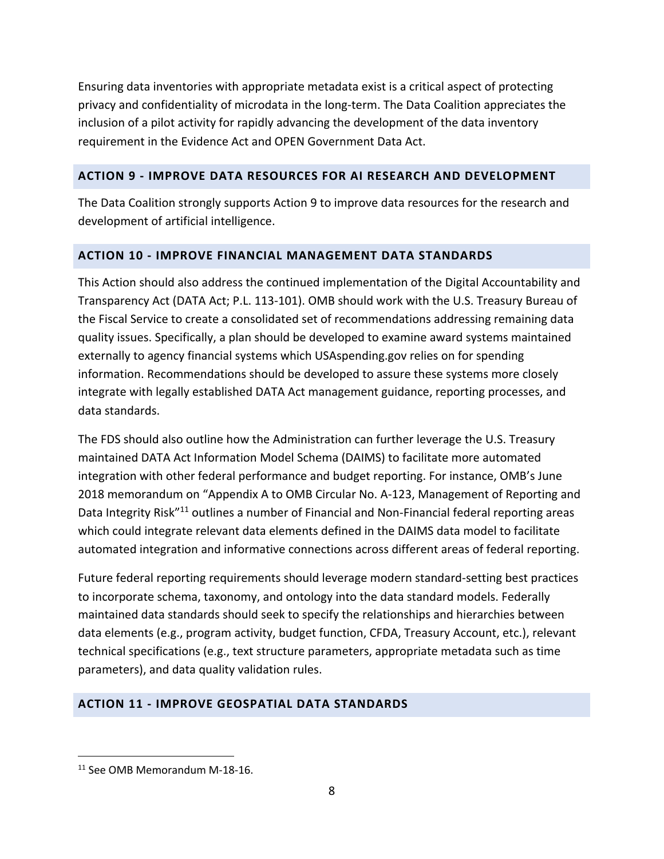Ensuring data inventories with appropriate metadata exist is a critical aspect of protecting privacy and confidentiality of microdata in the long-term. The Data Coalition appreciates the inclusion of a pilot activity for rapidly advancing the development of the data inventory requirement in the Evidence Act and OPEN Government Data Act.

#### **ACTION 9 - IMPROVE DATA RESOURCES FOR AI RESEARCH AND DEVELOPMENT**

The Data Coalition strongly supports Action 9 to improve data resources for the research and development of artificial intelligence.

#### **ACTION 10 - IMPROVE FINANCIAL MANAGEMENT DATA STANDARDS**

This Action should also address the continued implementation of the Digital Accountability and Transparency Act (DATA Act; P.L. 113-101). OMB should work with the U.S. Treasury Bureau of the Fiscal Service to create a consolidated set of recommendations addressing remaining data quality issues. Specifically, a plan should be developed to examine award systems maintained externally to agency financial systems which USAspending.gov relies on for spending information. Recommendations should be developed to assure these systems more closely integrate with legally established DATA Act management guidance, reporting processes, and data standards.

The FDS should also outline how the Administration can further leverage the U.S. Treasury maintained DATA Act Information Model Schema (DAIMS) to facilitate more automated integration with other federal performance and budget reporting. For instance, OMB's June 2018 memorandum on "Appendix A to OMB Circular No. A-123, Management of Reporting and Data Integrity Risk<sup>"11</sup> outlines a number of Financial and Non-Financial federal reporting areas which could integrate relevant data elements defined in the DAIMS data model to facilitate automated integration and informative connections across different areas of federal reporting.

Future federal reporting requirements should leverage modern standard-setting best practices to incorporate schema, taxonomy, and ontology into the data standard models. Federally maintained data standards should seek to specify the relationships and hierarchies between data elements (e.g., program activity, budget function, CFDA, Treasury Account, etc.), relevant technical specifications (e.g., text structure parameters, appropriate metadata such as time parameters), and data quality validation rules.

## **ACTION 11 - IMPROVE GEOSPATIAL DATA STANDARDS**

 <sup>11</sup> See OMB Memorandum M-18-16.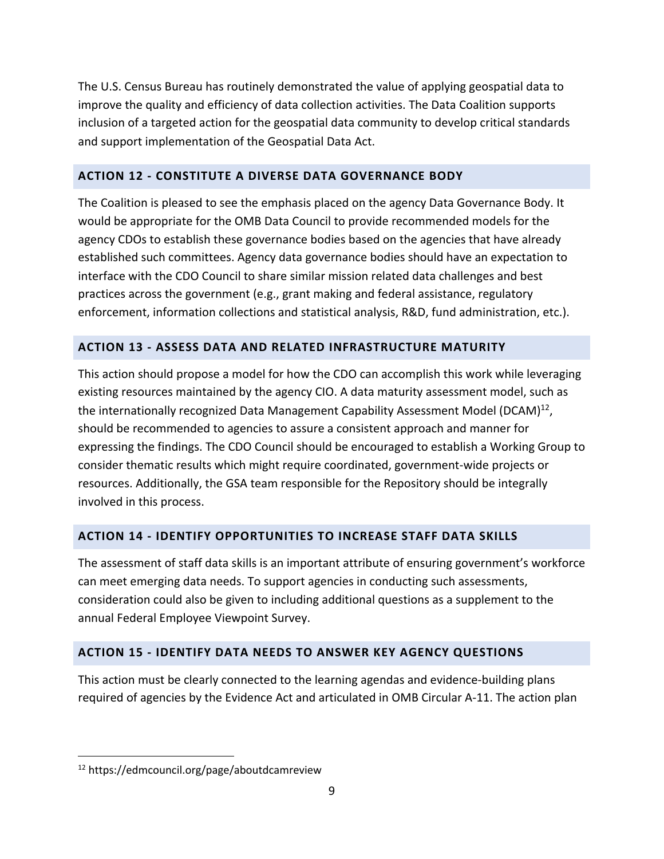The U.S. Census Bureau has routinely demonstrated the value of applying geospatial data to improve the quality and efficiency of data collection activities. The Data Coalition supports inclusion of a targeted action for the geospatial data community to develop critical standards and support implementation of the Geospatial Data Act.

#### **ACTION 12 - CONSTITUTE A DIVERSE DATA GOVERNANCE BODY**

The Coalition is pleased to see the emphasis placed on the agency Data Governance Body. It would be appropriate for the OMB Data Council to provide recommended models for the agency CDOs to establish these governance bodies based on the agencies that have already established such committees. Agency data governance bodies should have an expectation to interface with the CDO Council to share similar mission related data challenges and best practices across the government (e.g., grant making and federal assistance, regulatory enforcement, information collections and statistical analysis, R&D, fund administration, etc.).

#### **ACTION 13 - ASSESS DATA AND RELATED INFRASTRUCTURE MATURITY**

This action should propose a model for how the CDO can accomplish this work while leveraging existing resources maintained by the agency CIO. A data maturity assessment model, such as the internationally recognized Data Management Capability Assessment Model (DCAM)<sup>12</sup>, should be recommended to agencies to assure a consistent approach and manner for expressing the findings. The CDO Council should be encouraged to establish a Working Group to consider thematic results which might require coordinated, government-wide projects or resources. Additionally, the GSA team responsible for the Repository should be integrally involved in this process.

## **ACTION 14 - IDENTIFY OPPORTUNITIES TO INCREASE STAFF DATA SKILLS**

The assessment of staff data skills is an important attribute of ensuring government's workforce can meet emerging data needs. To support agencies in conducting such assessments, consideration could also be given to including additional questions as a supplement to the annual Federal Employee Viewpoint Survey.

#### **ACTION 15 - IDENTIFY DATA NEEDS TO ANSWER KEY AGENCY QUESTIONS**

This action must be clearly connected to the learning agendas and evidence-building plans required of agencies by the Evidence Act and articulated in OMB Circular A-11. The action plan

 <sup>12</sup> https://edmcouncil.org/page/aboutdcamreview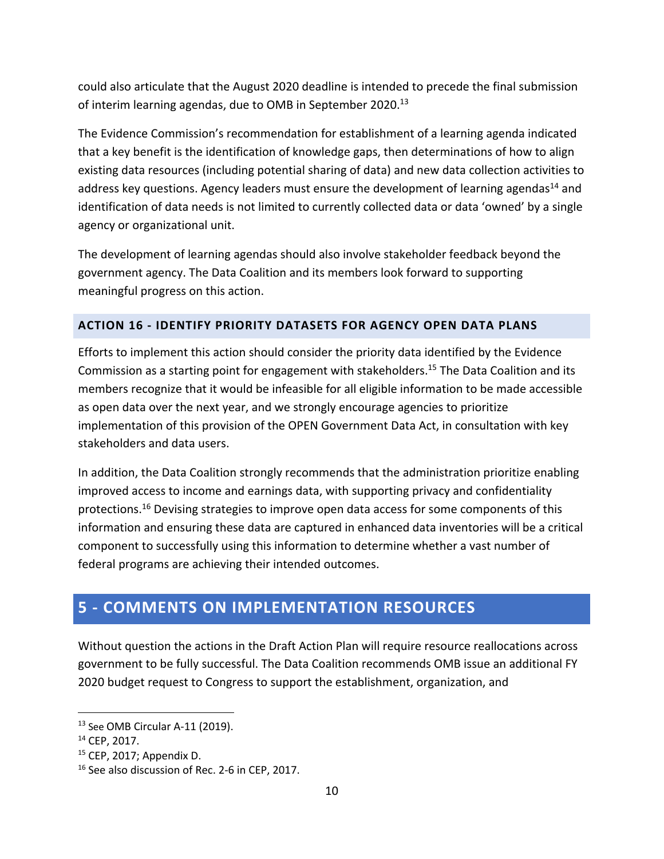could also articulate that the August 2020 deadline is intended to precede the final submission of interim learning agendas, due to OMB in September 2020.<sup>13</sup>

The Evidence Commission's recommendation for establishment of a learning agenda indicated that a key benefit is the identification of knowledge gaps, then determinations of how to align existing data resources (including potential sharing of data) and new data collection activities to address key questions. Agency leaders must ensure the development of learning agendas<sup>14</sup> and identification of data needs is not limited to currently collected data or data 'owned' by a single agency or organizational unit.

The development of learning agendas should also involve stakeholder feedback beyond the government agency. The Data Coalition and its members look forward to supporting meaningful progress on this action.

#### **ACTION 16 - IDENTIFY PRIORITY DATASETS FOR AGENCY OPEN DATA PLANS**

Efforts to implement this action should consider the priority data identified by the Evidence Commission as a starting point for engagement with stakeholders.<sup>15</sup> The Data Coalition and its members recognize that it would be infeasible for all eligible information to be made accessible as open data over the next year, and we strongly encourage agencies to prioritize implementation of this provision of the OPEN Government Data Act, in consultation with key stakeholders and data users.

In addition, the Data Coalition strongly recommends that the administration prioritize enabling improved access to income and earnings data, with supporting privacy and confidentiality protections.16 Devising strategies to improve open data access for some components of this information and ensuring these data are captured in enhanced data inventories will be a critical component to successfully using this information to determine whether a vast number of federal programs are achieving their intended outcomes.

# **5 - COMMENTS ON IMPLEMENTATION RESOURCES**

Without question the actions in the Draft Action Plan will require resource reallocations across government to be fully successful. The Data Coalition recommends OMB issue an additional FY 2020 budget request to Congress to support the establishment, organization, and

 <sup>13</sup> See OMB Circular A-11 (2019).

<sup>14</sup> CEP, 2017.

<sup>15</sup> CEP, 2017; Appendix D.

<sup>&</sup>lt;sup>16</sup> See also discussion of Rec. 2-6 in CEP, 2017.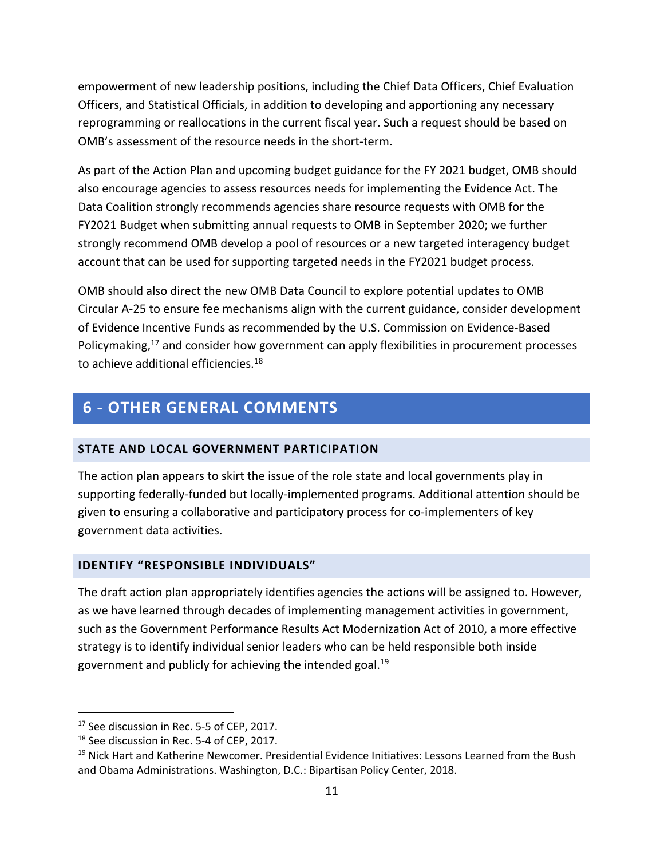empowerment of new leadership positions, including the Chief Data Officers, Chief Evaluation Officers, and Statistical Officials, in addition to developing and apportioning any necessary reprogramming or reallocations in the current fiscal year. Such a request should be based on OMB's assessment of the resource needs in the short-term.

As part of the Action Plan and upcoming budget guidance for the FY 2021 budget, OMB should also encourage agencies to assess resources needs for implementing the Evidence Act. The Data Coalition strongly recommends agencies share resource requests with OMB for the FY2021 Budget when submitting annual requests to OMB in September 2020; we further strongly recommend OMB develop a pool of resources or a new targeted interagency budget account that can be used for supporting targeted needs in the FY2021 budget process.

OMB should also direct the new OMB Data Council to explore potential updates to OMB Circular A-25 to ensure fee mechanisms align with the current guidance, consider development of Evidence Incentive Funds as recommended by the U.S. Commission on Evidence-Based Policymaking,<sup>17</sup> and consider how government can apply flexibilities in procurement processes to achieve additional efficiencies.<sup>18</sup>

# **6 - OTHER GENERAL COMMENTS**

#### **STATE AND LOCAL GOVERNMENT PARTICIPATION**

The action plan appears to skirt the issue of the role state and local governments play in supporting federally-funded but locally-implemented programs. Additional attention should be given to ensuring a collaborative and participatory process for co-implementers of key government data activities.

#### **IDENTIFY "RESPONSIBLE INDIVIDUALS"**

The draft action plan appropriately identifies agencies the actions will be assigned to. However, as we have learned through decades of implementing management activities in government, such as the Government Performance Results Act Modernization Act of 2010, a more effective strategy is to identify individual senior leaders who can be held responsible both inside government and publicly for achieving the intended goal.19

<sup>&</sup>lt;sup>17</sup> See discussion in Rec. 5-5 of CEP, 2017.

<sup>&</sup>lt;sup>18</sup> See discussion in Rec. 5-4 of CEP, 2017.

<sup>&</sup>lt;sup>19</sup> Nick Hart and Katherine Newcomer. Presidential Evidence Initiatives: Lessons Learned from the Bush and Obama Administrations. Washington, D.C.: Bipartisan Policy Center, 2018.